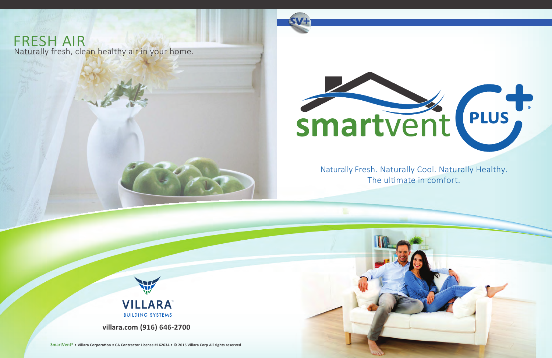**SmartVent • Villara Corporation • CA Contractor License #162634 • © 2015 Villara Corp All rights reserved** 

**villara.com (916) 646-2700**

Naturally Fresh. Naturally Cool. Naturally Healthy. The ultimate in comfort.



**SmartVent® • Villara Corporation • CA Contractor License #162634 • © 2015 Villara Corp All rights reserved**